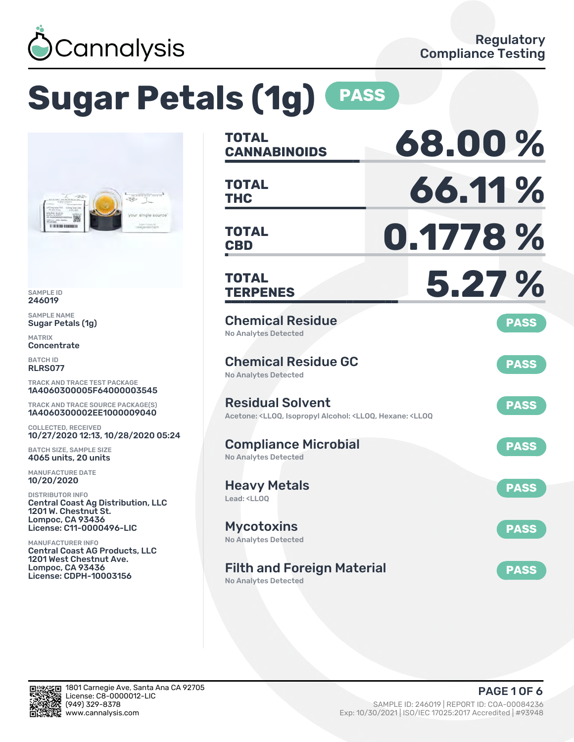

# **Sugar Petals (1g) PASS**



SAMPLE ID 246019

SAMPLE NAME Sugar Petals (1g)

MATRIX **Concentrate** 

BATCH ID RLRS077

TRACK AND TRACE TEST PACKAGE 1A4060300005F64000003545

TRACK AND TRACE SOURCE PACKAGE(S) 1A4060300002EE1000009040

COLLECTED, RECEIVED 10/27/2020 12:13, 10/28/2020 05:24

BATCH SIZE, SAMPLE SIZE 4065 units, 20 units

MANUFACTURE DATE 10/20/2020

DISTRIBUTOR INFO Central Coast Ag Distribution, LLC 1201 W. Chestnut St. Lompoc, CA 93436 License: C11-0000496-LIC

MANUFACTURER INFO Central Coast AG Products, LLC 1201 West Chestnut Ave. Lompoc, CA 93436 License: CDPH-10003156

| <b>TOTAL</b><br><b>CANNABINOIDS</b>                                                                                                   | 68.00%      |
|---------------------------------------------------------------------------------------------------------------------------------------|-------------|
| <b>TOTAL</b><br><b>THC</b>                                                                                                            | 66.11%      |
| <b>TOTAL</b><br><b>CBD</b>                                                                                                            | 0.1778 %    |
| <b>TOTAL</b><br><b>TERPENES</b>                                                                                                       | 5.27 %      |
| <b>Chemical Residue</b><br><b>No Analytes Detected</b>                                                                                | <b>PASS</b> |
| <b>Chemical Residue GC</b><br><b>No Analytes Detected</b>                                                                             | <b>PASS</b> |
| <b>Residual Solvent</b><br>Acetone: <lloq, <lloq,="" <lloq<="" alcohol:="" hexane:="" isopropyl="" td=""><td><b>PASS</b></td></lloq,> | <b>PASS</b> |
| <b>Compliance Microbial</b><br><b>No Analytes Detected</b>                                                                            | <b>PASS</b> |
| <b>Heavy Metals</b><br>Lead: <ll00< td=""><td><b>PASS</b></td></ll00<>                                                                | <b>PASS</b> |
| <b>Mycotoxins</b><br>No Analytes Detected                                                                                             | <b>PASS</b> |
| <b>Filth and Foreign Material</b>                                                                                                     | <b>PASS</b> |

No Analytes Detected

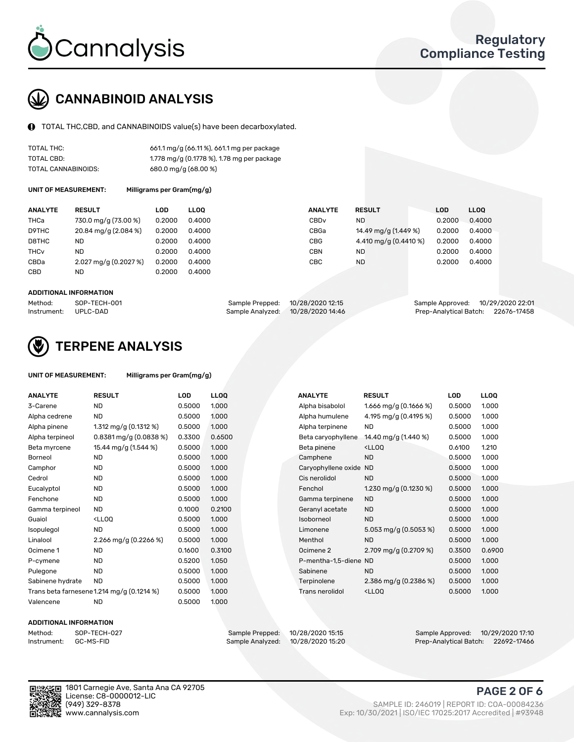

# CANNABINOID ANALYSIS

TOTAL THC,CBD, and CANNABINOIDS value(s) have been decarboxylated.

| TOTAL THC:          | 661.1 mg/g (66.11%), 661.1 mg per package  |
|---------------------|--------------------------------------------|
| TOTAL CBD:          | 1.778 mg/g (0.1778 %), 1.78 mg per package |
| TOTAL CANNABINOIDS: | 680.0 mg/g (68.00 %)                       |

UNIT OF MEASUREMENT: Milligrams per Gram(mg/g)

| <b>ANALYTE</b>         | <b>RESULT</b>         | LOD    | <b>LLOO</b> | <b>ANALYTE</b>   | <b>RESULT</b>         | <b>LOD</b> | <b>LLOO</b> |
|------------------------|-----------------------|--------|-------------|------------------|-----------------------|------------|-------------|
| THCa                   | 730.0 mg/g (73.00 %)  | 0.2000 | 0.4000      | CBD <sub>v</sub> | ND.                   | 0.2000     | 0.4000      |
| D9THC                  | 20.84 mg/g (2.084 %)  | 0.2000 | 0.4000      | CBGa             | 14.49 mg/g (1.449 %)  | 0.2000     | 0.4000      |
| D8THC                  | ND                    | 0.2000 | 0.4000      | CBG              | 4.410 mg/g (0.4410 %) | 0.2000     | 0.4000      |
| <b>THC<sub>v</sub></b> | ND                    | 0.2000 | 0.4000      | CBN              | ND.                   | 0.2000     | 0.4000      |
| CBDa                   | 2.027 mg/g (0.2027 %) | 0.2000 | 0.4000      | CBC              | <b>ND</b>             | 0.2000     | 0.4000      |
| <b>CBD</b>             | ND                    | 0.2000 | 0.4000      |                  |                       |            |             |
|                        |                       |        |             |                  |                       |            |             |

#### ADDITIONAL INFORMATION

| Method:              | SOP-TECH-001 | Sample Prepped: 10/28/2020 12:15  | Sample Approved: 10/29/2020 22:01  |  |
|----------------------|--------------|-----------------------------------|------------------------------------|--|
| Instrument: UPLC-DAD |              | Sample Analyzed: 10/28/2020 14:46 | Prep-Analytical Batch: 22676-17458 |  |



## TERPENE ANALYSIS

| UNIT OF MEASUREMENT: | Milligrams per Gram(mg/g) |
|----------------------|---------------------------|
|----------------------|---------------------------|

| <b>ANALYTE</b>   | <b>RESULT</b>                                                                                                        | <b>LOD</b> | <b>LLOQ</b> | <b>ANALYTE</b>         | <b>RESULT</b>                                      | <b>LOD</b> | <b>LLOQ</b> |
|------------------|----------------------------------------------------------------------------------------------------------------------|------------|-------------|------------------------|----------------------------------------------------|------------|-------------|
| 3-Carene         | ND                                                                                                                   | 0.5000     | 1.000       | Alpha bisabolol        | 1.666 mg/g $(0.1666%)$                             | 0.5000     | 1.000       |
| Alpha cedrene    | <b>ND</b>                                                                                                            | 0.5000     | 1.000       | Alpha humulene         | 4.195 mg/g (0.4195 %)                              | 0.5000     | 1.000       |
| Alpha pinene     | 1.312 mg/g $(0.1312 \%)$                                                                                             | 0.5000     | 1.000       | Alpha terpinene        | <b>ND</b>                                          | 0.5000     | 1.000       |
| Alpha terpineol  | $0.8381$ mg/g $(0.0838\%)$                                                                                           | 0.3300     | 0.6500      | Beta caryophyllene     | 14.40 mg/g (1.440 %)                               | 0.5000     | 1.000       |
| Beta myrcene     | 15.44 mg/g (1.544 %)                                                                                                 | 0.5000     | 1.000       | Beta pinene            | <lloq< td=""><td>0.6100</td><td>1.210</td></lloq<> | 0.6100     | 1.210       |
| Borneol          | <b>ND</b>                                                                                                            | 0.5000     | 1.000       | Camphene               | <b>ND</b>                                          | 0.5000     | 1.000       |
| Camphor          | <b>ND</b>                                                                                                            | 0.5000     | 1.000       | Caryophyllene oxide ND |                                                    | 0.5000     | 1.000       |
| Cedrol           | <b>ND</b>                                                                                                            | 0.5000     | 1.000       | Cis nerolidol          | <b>ND</b>                                          | 0.5000     | 1.000       |
| Eucalyptol       | <b>ND</b>                                                                                                            | 0.5000     | 1.000       | Fenchol                | 1.230 mg/g $(0.1230\%)$                            | 0.5000     | 1.000       |
| Fenchone         | <b>ND</b>                                                                                                            | 0.5000     | 1.000       | Gamma terpinene        | <b>ND</b>                                          | 0.5000     | 1.000       |
| Gamma terpineol  | <b>ND</b>                                                                                                            | 0.1000     | 0.2100      | Geranyl acetate        | <b>ND</b>                                          | 0.5000     | 1.000       |
| Guaiol           | <ll0q< td=""><td>0.5000</td><td>1.000</td><td>Isoborneol</td><td><b>ND</b></td><td>0.5000</td><td>1.000</td></ll0q<> | 0.5000     | 1.000       | Isoborneol             | <b>ND</b>                                          | 0.5000     | 1.000       |
| Isopulegol       | <b>ND</b>                                                                                                            | 0.5000     | 1.000       | Limonene               | 5.053 mg/g $(0.5053\%)$                            | 0.5000     | 1.000       |
| Linalool         | 2.266 mg/g $(0.2266\%)$                                                                                              | 0.5000     | 1.000       | Menthol                | <b>ND</b>                                          | 0.5000     | 1.000       |
| Ocimene 1        | <b>ND</b>                                                                                                            | 0.1600     | 0.3100      | Ocimene 2              | 2.709 mg/g (0.2709 %)                              | 0.3500     | 0.6900      |
| P-cymene         | <b>ND</b>                                                                                                            | 0.5200     | 1.050       | P-mentha-1,5-diene ND  |                                                    | 0.5000     | 1.000       |
| Pulegone         | <b>ND</b>                                                                                                            | 0.5000     | 1.000       | Sabinene               | <b>ND</b>                                          | 0.5000     | 1.000       |
| Sabinene hydrate | <b>ND</b>                                                                                                            | 0.5000     | 1.000       | Terpinolene            | 2.386 mg/g (0.2386 %)                              | 0.5000     | 1.000       |
|                  | Trans beta farnesene 1.214 mg/g (0.1214 %)                                                                           | 0.5000     | 1.000       | Trans nerolidol        | <lloq< td=""><td>0.5000</td><td>1.000</td></lloq<> | 0.5000     | 1.000       |
| Valencene        | <b>ND</b>                                                                                                            | 0.5000     | 1.000       |                        |                                                    |            |             |

#### ADDITIONAL INFORMATION

| Method:     | SOP-TECH  |
|-------------|-----------|
| Instrument: | GC-MS-FII |

Method: SOP-TECH-027 Sample Prepped: 10/28/2020 15:15 Sample Approved: 10/29/2020 17:10 Prep-Analytical Batch: 22692-17466

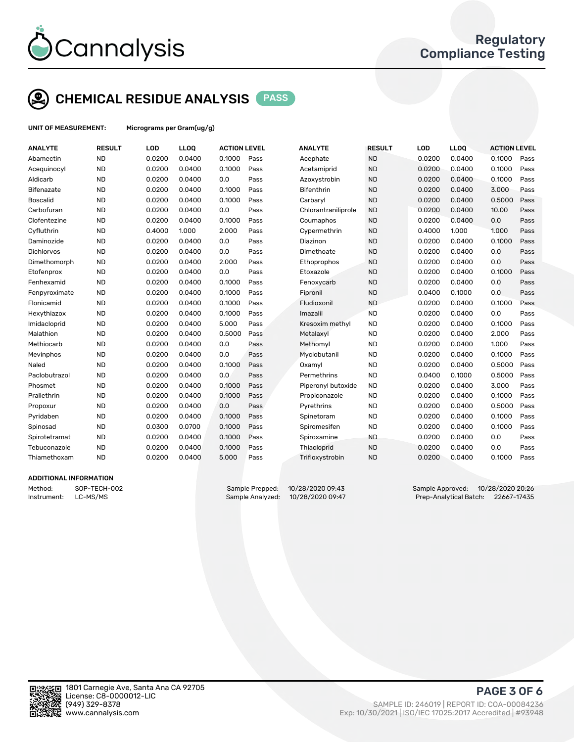

# CHEMICAL RESIDUE ANALYSIS PASS

UNIT OF MEASUREMENT: Micrograms per Gram(ug/g)

| <b>ANALYTE</b>    | <b>RESULT</b> | LOD    | LLOQ   | <b>ACTION LEVEL</b> |      | <b>ANALYTE</b>      | <b>RESULT</b> | LOD    | <b>LLOQ</b> | <b>ACTION LEVEL</b> |      |
|-------------------|---------------|--------|--------|---------------------|------|---------------------|---------------|--------|-------------|---------------------|------|
| Abamectin         | <b>ND</b>     | 0.0200 | 0.0400 | 0.1000              | Pass | Acephate            | <b>ND</b>     | 0.0200 | 0.0400      | 0.1000              | Pass |
| Acequinocyl       | <b>ND</b>     | 0.0200 | 0.0400 | 0.1000              | Pass | Acetamiprid         | <b>ND</b>     | 0.0200 | 0.0400      | 0.1000              | Pass |
| Aldicarb          | <b>ND</b>     | 0.0200 | 0.0400 | 0.0                 | Pass | Azoxystrobin        | <b>ND</b>     | 0.0200 | 0.0400      | 0.1000              | Pass |
| <b>Bifenazate</b> | <b>ND</b>     | 0.0200 | 0.0400 | 0.1000              | Pass | <b>Bifenthrin</b>   | <b>ND</b>     | 0.0200 | 0.0400      | 3.000               | Pass |
| <b>Boscalid</b>   | <b>ND</b>     | 0.0200 | 0.0400 | 0.1000              | Pass | Carbaryl            | <b>ND</b>     | 0.0200 | 0.0400      | 0.5000              | Pass |
| Carbofuran        | <b>ND</b>     | 0.0200 | 0.0400 | 0.0                 | Pass | Chlorantraniliprole | <b>ND</b>     | 0.0200 | 0.0400      | 10.00               | Pass |
| Clofentezine      | <b>ND</b>     | 0.0200 | 0.0400 | 0.1000              | Pass | Coumaphos           | <b>ND</b>     | 0.0200 | 0.0400      | 0.0                 | Pass |
| Cyfluthrin        | <b>ND</b>     | 0.4000 | 1.000  | 2.000               | Pass | Cypermethrin        | <b>ND</b>     | 0.4000 | 1.000       | 1.000               | Pass |
| Daminozide        | <b>ND</b>     | 0.0200 | 0.0400 | 0.0                 | Pass | Diazinon            | <b>ND</b>     | 0.0200 | 0.0400      | 0.1000              | Pass |
| <b>Dichlorvos</b> | <b>ND</b>     | 0.0200 | 0.0400 | 0.0                 | Pass | Dimethoate          | <b>ND</b>     | 0.0200 | 0.0400      | 0.0                 | Pass |
| Dimethomorph      | <b>ND</b>     | 0.0200 | 0.0400 | 2.000               | Pass | Ethoprophos         | <b>ND</b>     | 0.0200 | 0.0400      | 0.0                 | Pass |
| Etofenprox        | <b>ND</b>     | 0.0200 | 0.0400 | 0.0                 | Pass | Etoxazole           | <b>ND</b>     | 0.0200 | 0.0400      | 0.1000              | Pass |
| Fenhexamid        | <b>ND</b>     | 0.0200 | 0.0400 | 0.1000              | Pass | Fenoxycarb          | <b>ND</b>     | 0.0200 | 0.0400      | 0.0                 | Pass |
| Fenpyroximate     | <b>ND</b>     | 0.0200 | 0.0400 | 0.1000              | Pass | Fipronil            | <b>ND</b>     | 0.0400 | 0.1000      | 0.0                 | Pass |
| Flonicamid        | <b>ND</b>     | 0.0200 | 0.0400 | 0.1000              | Pass | Fludioxonil         | <b>ND</b>     | 0.0200 | 0.0400      | 0.1000              | Pass |
| Hexythiazox       | <b>ND</b>     | 0.0200 | 0.0400 | 0.1000              | Pass | Imazalil            | <b>ND</b>     | 0.0200 | 0.0400      | 0.0                 | Pass |
| Imidacloprid      | <b>ND</b>     | 0.0200 | 0.0400 | 5.000               | Pass | Kresoxim methyl     | <b>ND</b>     | 0.0200 | 0.0400      | 0.1000              | Pass |
| Malathion         | <b>ND</b>     | 0.0200 | 0.0400 | 0.5000              | Pass | Metalaxyl           | <b>ND</b>     | 0.0200 | 0.0400      | 2.000               | Pass |
| Methiocarb        | <b>ND</b>     | 0.0200 | 0.0400 | 0.0                 | Pass | Methomyl            | <b>ND</b>     | 0.0200 | 0.0400      | 1.000               | Pass |
| Mevinphos         | <b>ND</b>     | 0.0200 | 0.0400 | 0.0                 | Pass | Myclobutanil        | <b>ND</b>     | 0.0200 | 0.0400      | 0.1000              | Pass |
| Naled             | <b>ND</b>     | 0.0200 | 0.0400 | 0.1000              | Pass | Oxamyl              | <b>ND</b>     | 0.0200 | 0.0400      | 0.5000              | Pass |
| Paclobutrazol     | <b>ND</b>     | 0.0200 | 0.0400 | 0.0                 | Pass | Permethrins         | <b>ND</b>     | 0.0400 | 0.1000      | 0.5000              | Pass |
| Phosmet           | <b>ND</b>     | 0.0200 | 0.0400 | 0.1000              | Pass | Piperonyl butoxide  | <b>ND</b>     | 0.0200 | 0.0400      | 3.000               | Pass |
| Prallethrin       | <b>ND</b>     | 0.0200 | 0.0400 | 0.1000              | Pass | Propiconazole       | <b>ND</b>     | 0.0200 | 0.0400      | 0.1000              | Pass |
| Propoxur          | <b>ND</b>     | 0.0200 | 0.0400 | 0.0                 | Pass | Pyrethrins          | <b>ND</b>     | 0.0200 | 0.0400      | 0.5000              | Pass |
| Pyridaben         | <b>ND</b>     | 0.0200 | 0.0400 | 0.1000              | Pass | Spinetoram          | <b>ND</b>     | 0.0200 | 0.0400      | 0.1000              | Pass |
| Spinosad          | <b>ND</b>     | 0.0300 | 0.0700 | 0.1000              | Pass | Spiromesifen        | <b>ND</b>     | 0.0200 | 0.0400      | 0.1000              | Pass |
| Spirotetramat     | <b>ND</b>     | 0.0200 | 0.0400 | 0.1000              | Pass | Spiroxamine         | <b>ND</b>     | 0.0200 | 0.0400      | 0.0                 | Pass |
| Tebuconazole      | <b>ND</b>     | 0.0200 | 0.0400 | 0.1000              | Pass | Thiacloprid         | <b>ND</b>     | 0.0200 | 0.0400      | 0.0                 | Pass |
| Thiamethoxam      | <b>ND</b>     | 0.0200 | 0.0400 | 5.000               | Pass | Trifloxystrobin     | <b>ND</b>     | 0.0200 | 0.0400      | 0.1000              | Pass |
|                   |               |        |        |                     |      |                     |               |        |             |                     |      |

### ADDITIONAL INFORMATION

Method: SOP-TECH-002 Sample Prepped: 10/28/2020 09:43 Sample Approved: 10/28/2020 20:26 Instrument: LC-MS/MS Sample Analyzed: 10/28/2020 09:47 Prep-Analytical Batch: 22667-17435



PAGE 3 OF 6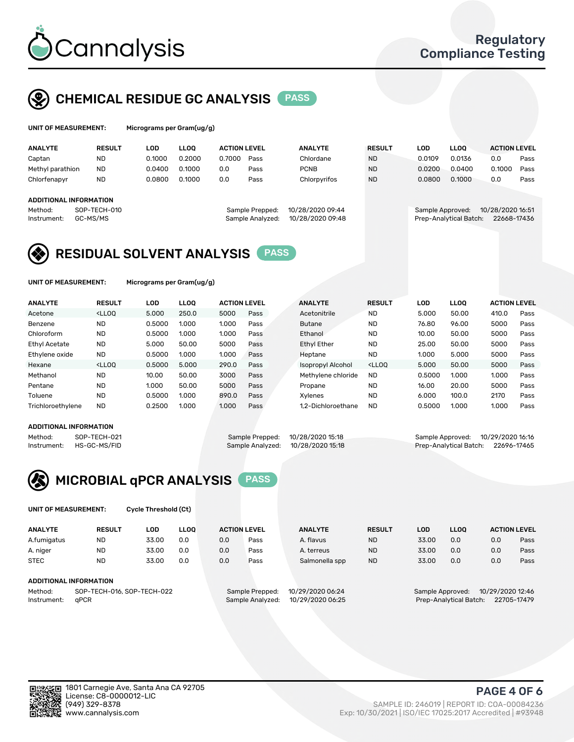

## CHEMICAL RESIDUE GC ANALYSIS PASS

| UNIT OF MEASUREMENT: | M |
|----------------------|---|
|----------------------|---|

licrograms per Gram(ug/g)

| <b>ANALYTE</b>                | <b>RESULT</b> | LOD    | <b>LLOO</b> | <b>ACTION LEVEL</b> |                  | <b>ANALYTE</b>   | <b>RESULT</b> | LOD                    | <b>LLOO</b> | <b>ACTION LEVEL</b> |      |
|-------------------------------|---------------|--------|-------------|---------------------|------------------|------------------|---------------|------------------------|-------------|---------------------|------|
| Captan                        | <b>ND</b>     | 0.1000 | 0.2000      | 0.7000              | Pass             | Chlordane        | <b>ND</b>     | 0.0109                 | 0.0136      | 0.0                 | Pass |
| Methyl parathion              | <b>ND</b>     | 0.0400 | 0.1000      | 0.0                 | Pass             | <b>PCNB</b>      | <b>ND</b>     | 0.0200                 | 0.0400      | 0.1000              | Pass |
| Chlorfenapyr                  | <b>ND</b>     | 0.0800 | 0.1000      | 0.0                 | Pass             | Chlorpyrifos     | <b>ND</b>     | 0.0800                 | 0.1000      | 0.0                 | Pass |
|                               |               |        |             |                     |                  |                  |               |                        |             |                     |      |
| <b>ADDITIONAL INFORMATION</b> |               |        |             |                     |                  |                  |               |                        |             |                     |      |
| Method:                       | SOP-TECH-010  |        |             |                     | Sample Prepped:  | 10/28/2020 09:44 |               | Sample Approved:       |             | 10/28/2020 16:51    |      |
| Instrument:                   | GC-MS/MS      |        |             |                     | Sample Analyzed: | 10/28/2020 09:48 |               | Prep-Analytical Batch: |             | 22668-17436         |      |
|                               |               |        |             |                     |                  |                  |               |                        |             |                     |      |

## RESIDUAL SOLVENT ANALYSIS PASS

UNIT OF MEASUREMENT: Micrograms per Gram(ug/g)

| <b>ANALYTE</b>       | <b>RESULT</b>                                                                                                                                                                                      | <b>LOD</b> | <b>LLOO</b> | <b>ACTION LEVEL</b> |      | <b>ANALYTE</b>           | <b>RESULT</b>                                                               | LOD    | <b>LLOO</b> | <b>ACTION LEVEL</b> |      |
|----------------------|----------------------------------------------------------------------------------------------------------------------------------------------------------------------------------------------------|------------|-------------|---------------------|------|--------------------------|-----------------------------------------------------------------------------|--------|-------------|---------------------|------|
| Acetone              | <lloo< td=""><td>5.000</td><td>250.0</td><td>5000</td><td>Pass</td><td>Acetonitrile</td><td><b>ND</b></td><td>5.000</td><td>50.00</td><td>410.0</td><td>Pass</td></lloo<>                          | 5.000      | 250.0       | 5000                | Pass | Acetonitrile             | <b>ND</b>                                                                   | 5.000  | 50.00       | 410.0               | Pass |
| Benzene              | <b>ND</b>                                                                                                                                                                                          | 0.5000     | 1.000       | 1.000               | Pass | <b>Butane</b>            | <b>ND</b>                                                                   | 76.80  | 96.00       | 5000                | Pass |
| Chloroform           | <b>ND</b>                                                                                                                                                                                          | 0.5000     | 1.000       | 1.000               | Pass | Ethanol                  | <b>ND</b>                                                                   | 10.00  | 50.00       | 5000                | Pass |
| <b>Ethyl Acetate</b> | <b>ND</b>                                                                                                                                                                                          | 5.000      | 50.00       | 5000                | Pass | <b>Ethyl Ether</b>       | <b>ND</b>                                                                   | 25.00  | 50.00       | 5000                | Pass |
| Ethylene oxide       | <b>ND</b>                                                                                                                                                                                          | 0.5000     | 1.000       | 1.000               | Pass | Heptane                  | <b>ND</b>                                                                   | 1.000  | 5.000       | 5000                | Pass |
| Hexane               | <lloo< td=""><td>0.5000</td><td>5.000</td><td>290.0</td><td>Pass</td><td><b>Isopropyl Alcohol</b></td><td><lloo< td=""><td>5.000</td><td>50.00</td><td>5000</td><td>Pass</td></lloo<></td></lloo<> | 0.5000     | 5.000       | 290.0               | Pass | <b>Isopropyl Alcohol</b> | <lloo< td=""><td>5.000</td><td>50.00</td><td>5000</td><td>Pass</td></lloo<> | 5.000  | 50.00       | 5000                | Pass |
| Methanol             | <b>ND</b>                                                                                                                                                                                          | 10.00      | 50.00       | 3000                | Pass | Methylene chloride       | <b>ND</b>                                                                   | 0.5000 | 1.000       | 1.000               | Pass |
| Pentane              | <b>ND</b>                                                                                                                                                                                          | 1.000      | 50.00       | 5000                | Pass | Propane                  | <b>ND</b>                                                                   | 16.00  | 20.00       | 5000                | Pass |
| Toluene              | <b>ND</b>                                                                                                                                                                                          | 0.5000     | 1.000       | 890.0               | Pass | Xvlenes                  | <b>ND</b>                                                                   | 6.000  | 100.0       | 2170                | Pass |
| Trichloroethylene    | <b>ND</b>                                                                                                                                                                                          | 0.2500     | 1.000       | 1.000               | Pass | 1.2-Dichloroethane       | <b>ND</b>                                                                   | 0.5000 | 1.000       | 1.000               | Pass |

#### ADDITIONAL INFORMATION



Prep-Analytical Batch: 22696-17465



UNIT OF MEASUREMENT: Cycle Threshold (Ct)

| <b>ANALYTE</b>                        | <b>RESULT</b>          | LOD   | <b>LLOO</b> | <b>ACTION LEVEL</b> |                 | <b>ANALYTE</b>   | <b>RESULT</b> | LOD   | <b>LLOO</b>      |                  | <b>ACTION LEVEL</b> |
|---------------------------------------|------------------------|-------|-------------|---------------------|-----------------|------------------|---------------|-------|------------------|------------------|---------------------|
| A.fumigatus                           | <b>ND</b>              | 33.00 | 0.0         | 0.0                 | Pass            | A. flavus        | <b>ND</b>     | 33.00 | 0.0              | 0.0              | Pass                |
| A. niger                              | <b>ND</b>              | 33.00 | 0.0         | 0.0                 | Pass            | A. terreus       | <b>ND</b>     | 33.00 | 0.0              | 0.0              | Pass                |
| <b>STEC</b>                           | <b>ND</b>              | 33.00 | 0.0         | 0.0                 | Pass            | Salmonella spp   | <b>ND</b>     | 33.00 | 0.0              | 0.0              | Pass                |
|                                       | ADDITIONAL INFORMATION |       |             |                     |                 |                  |               |       |                  |                  |                     |
| Method:<br>SOP-TECH-016, SOP-TECH-022 |                        |       |             |                     | Sample Prepped: | 10/29/2020 06:24 |               |       | Sample Approved: | 10/29/2020 12:46 |                     |

Instrument: qPCR Sample Analyzed: 10/29/2020 06:25 Prep-Analytical Batch: 22705-17479

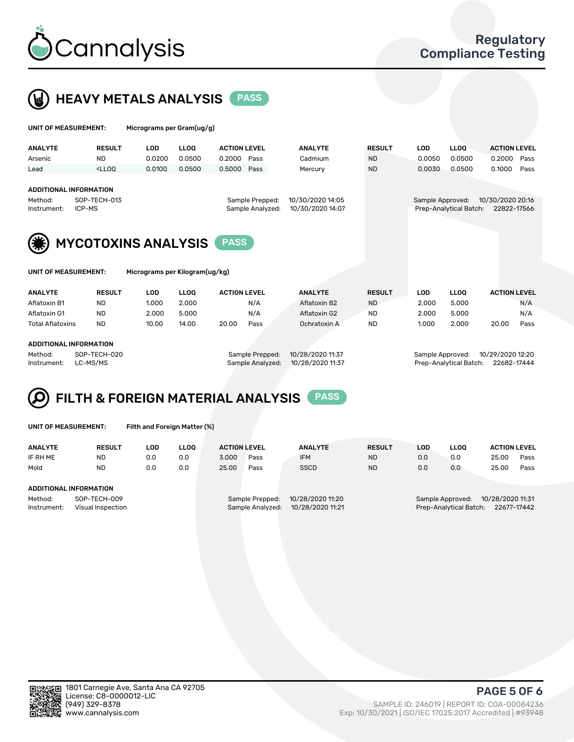



| UNIT OF MEASUREMENT:                                       |               | Micrograms per Gram(ug/g) |             |                     |                                     |                                      |               |                  |                        |                                 |      |
|------------------------------------------------------------|---------------|---------------------------|-------------|---------------------|-------------------------------------|--------------------------------------|---------------|------------------|------------------------|---------------------------------|------|
| <b>ANALYTE</b>                                             | <b>RESULT</b> | <b>LOD</b>                | <b>LLOO</b> | <b>ACTION LEVEL</b> |                                     | <b>ANALYTE</b>                       | <b>RESULT</b> | <b>LOD</b>       | <b>LLOQ</b>            | <b>ACTION LEVEL</b>             |      |
| Arsenic                                                    | ND.           | 0.0200                    | 0.0500      | 0.2000              | Pass                                | Cadmium                              | <b>ND</b>     | 0.0050           | 0.0500                 | 0.2000                          | Pass |
| Lead                                                       | $<$ LLOO      | 0.0100                    | 0.0500      | 0.5000              | Pass                                | Mercury                              | <b>ND</b>     | 0.0030           | 0.0500                 | 0.1000                          | Pass |
| ADDITIONAL INFORMATION<br>Method:<br>ICP-MS<br>Instrument: | SOP-TECH-013  |                           |             |                     | Sample Prepped:<br>Sample Analyzed: | 10/30/2020 14:05<br>10/30/2020 14:07 |               | Sample Approved: | Prep-Analytical Batch: | 10/30/2020 20:16<br>22822-17566 |      |
|                                                            |               |                           |             |                     |                                     |                                      |               |                  |                        |                                 |      |
| <b>MYCOTOXINS ANALYSIS</b><br><b>PASS</b>                  |               |                           |             |                     |                                     |                                      |               |                  |                        |                                 |      |
| Micrograms per Kilogram(ug/kg)<br>UNIT OF MEASUREMENT:     |               |                           |             |                     |                                     |                                      |               |                  |                        |                                 |      |
| <b>ANALYTE</b>                                             | <b>RESULT</b> | <b>LOD</b>                | <b>LLOO</b> | <b>ACTION LEVEL</b> |                                     | <b>ANALYTE</b>                       | <b>RESULT</b> | <b>LOD</b>       | <b>LLOQ</b>            | <b>ACTION LEVEL</b>             |      |
| Aflatoxin B1                                               | <b>ND</b>     | 1.000                     | 2.000       |                     | N/A                                 | Aflatoxin B2                         | <b>ND</b>     | 2.000            | 5.000                  |                                 | N/A  |
| Aflatoxin G1                                               | <b>ND</b>     | 2.000                     | 5.000       |                     | N/A                                 | Aflatoxin G2                         | <b>ND</b>     | 2.000            | 5.000                  |                                 | N/A  |
| <b>Total Aflatoxins</b>                                    | <b>ND</b>     | 10.00                     | 14.00       | 20.00               | Pass                                | Ochratoxin A                         | <b>ND</b>     | 1.000            | 2.000                  | 20.00                           | Pass |

#### ADDITIONAL INFORMATION

Method: SOP-TECH-020 Sample Prepped: 10/28/2020 11:37 Sample Approved: 10/29/2020 12:20 Instrument: LC-MS/MS Sample Analyzed: 10/28/2020 11:37 Prep-Analytical Batch: 22682-17444

#### FILTH & FOREIGN MATERIAL ANALYSIS PASS Q

UNIT OF MEASUREMENT: Filth and Foreign Matter (%)

| <b>ANALYTE</b>                                              | <b>RESULT</b> | LOD | <b>LLOO</b> | <b>ACTION LEVEL</b>                                                         |      | <b>ANALYTE</b> | <b>RESULT</b> | LOD                                                                        | <b>LLOO</b> | <b>ACTION LEVEL</b> |      |  |
|-------------------------------------------------------------|---------------|-----|-------------|-----------------------------------------------------------------------------|------|----------------|---------------|----------------------------------------------------------------------------|-------------|---------------------|------|--|
| IF RH ME                                                    | <b>ND</b>     | 0.0 | 0.0         | 3.000                                                                       | Pass | <b>IFM</b>     | <b>ND</b>     | 0.0                                                                        | 0.0         | 25.00               | Pass |  |
| Mold                                                        | <b>ND</b>     | 0.0 | 0.0         | 25.00                                                                       | Pass | <b>SSCD</b>    | <b>ND</b>     | 0.0                                                                        | 0.0         | 25.00               | Pass |  |
| ADDITIONAL INFORMATION                                      |               |     |             |                                                                             |      |                |               |                                                                            |             |                     |      |  |
| Method:<br>SOP-TECH-009<br>Instrument:<br>Visual Inspection |               |     |             | 10/28/2020 11:20<br>Sample Prepped:<br>10/28/2020 11:21<br>Sample Analyzed: |      |                |               | 10/28/2020 11:31<br>Sample Approved:<br>Prep-Analytical Batch: 22677-17442 |             |                     |      |  |



PAGE 5 OF 6